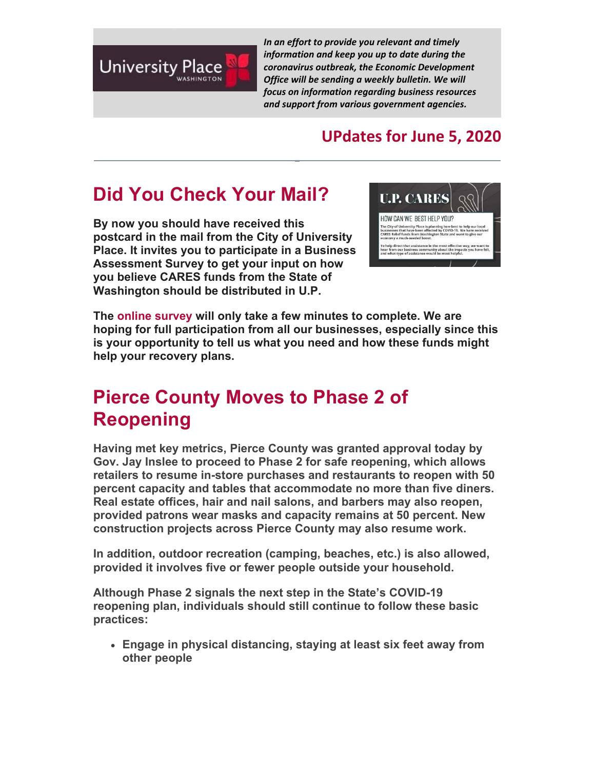

*In an effort to provide you relevant and timely information and keep you up to date during the coronavirus outbreak, the Economic Development Office will be sending a weekly bulletin. We will focus on information regarding business resources and support from various government agencies.*

## **UPdates for June 5, 2020**

## **Did You Check Your Mail?**

**By now you should have received this postcard in the mail from the City of University Place. It invites you to participate in a Business Assessment Survey to get your input on how you believe CARES funds from the State of Washington should be distributed in U.P.** 



**The online survey will only take a few minutes to complete. We are hoping for full participation from all our businesses, especially since this is your opportunity to tell us what you need and how these funds might help your recovery plans.**

## **Pierce County Moves to Phase 2 of Reopening**

**Having met key metrics, Pierce County was granted approval today by Gov. Jay Inslee to proceed to Phase 2 for safe reopening, which allows retailers to resume in-store purchases and restaurants to reopen with 50 percent capacity and tables that accommodate no more than five diners. Real estate offices, hair and nail salons, and barbers may also reopen, provided patrons wear masks and capacity remains at 50 percent. New construction projects across Pierce County may also resume work.** 

**In addition, outdoor recreation (camping, beaches, etc.) is also allowed, provided it involves five or fewer people outside your household.** 

**Although Phase 2 signals the next step in the State's COVID-19 reopening plan, individuals should still continue to follow these basic practices:** 

 **Engage in physical distancing, staying at least six feet away from other people**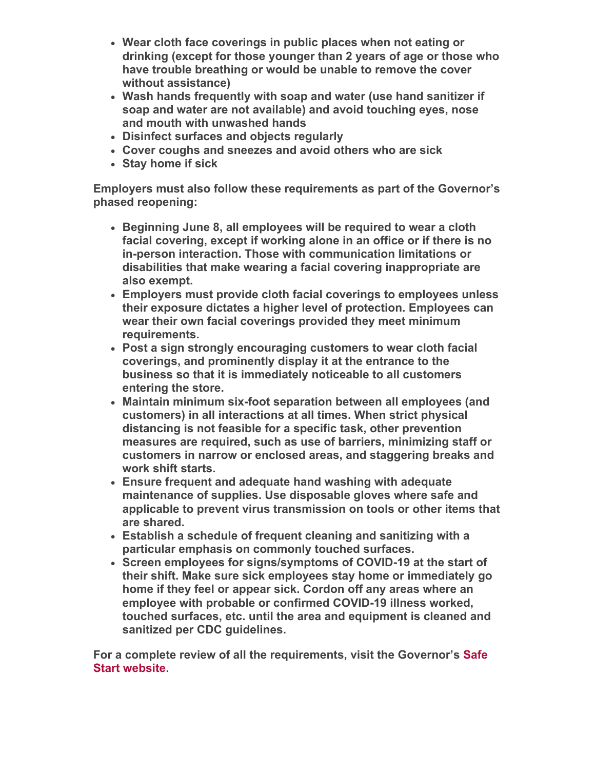- **Wear cloth face coverings in public places when not eating or drinking (except for those younger than 2 years of age or those who have trouble breathing or would be unable to remove the cover without assistance)**
- **Wash hands frequently with soap and water (use hand sanitizer if soap and water are not available) and avoid touching eyes, nose and mouth with unwashed hands**
- **Disinfect surfaces and objects regularly**
- **Cover coughs and sneezes and avoid others who are sick**
- **Stay home if sick**

**Employers must also follow these requirements as part of the Governor's phased reopening:** 

- **Beginning June 8, all employees will be required to wear a cloth facial covering, except if working alone in an office or if there is no in-person interaction. Those with communication limitations or disabilities that make wearing a facial covering inappropriate are also exempt.**
- **Employers must provide cloth facial coverings to employees unless their exposure dictates a higher level of protection. Employees can wear their own facial coverings provided they meet minimum requirements.**
- **Post a sign strongly encouraging customers to wear cloth facial coverings, and prominently display it at the entrance to the business so that it is immediately noticeable to all customers entering the store.**
- **Maintain minimum six-foot separation between all employees (and customers) in all interactions at all times. When strict physical distancing is not feasible for a specific task, other prevention measures are required, such as use of barriers, minimizing staff or customers in narrow or enclosed areas, and staggering breaks and work shift starts.**
- **Ensure frequent and adequate hand washing with adequate maintenance of supplies. Use disposable gloves where safe and applicable to prevent virus transmission on tools or other items that are shared.**
- **Establish a schedule of frequent cleaning and sanitizing with a particular emphasis on commonly touched surfaces.**
- **Screen employees for signs/symptoms of COVID-19 at the start of their shift. Make sure sick employees stay home or immediately go home if they feel or appear sick. Cordon off any areas where an employee with probable or confirmed COVID-19 illness worked, touched surfaces, etc. until the area and equipment is cleaned and sanitized per CDC guidelines.**

**For a complete review of all the requirements, visit the Governor's Safe Start website.**